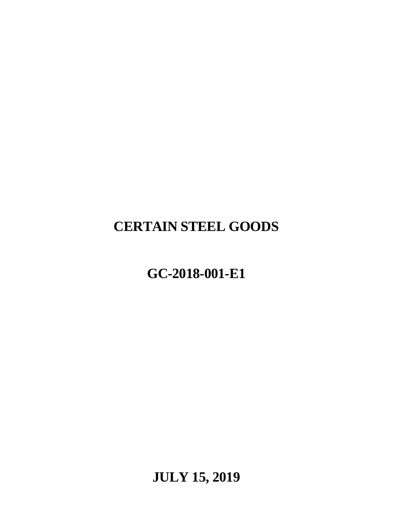# **CERTAIN STEEL GOODS**

# **GC-2018-001-E1**

**JULY 15, 2019**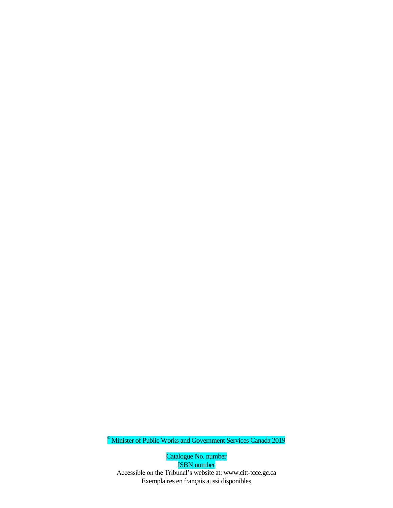© Minister of Public Works and Government Services Canada 2019

Catalogue No. number ISBN number Accessible on the Tribunal's website at: www.citt-tcce.gc.ca Exemplaires en français aussi disponibles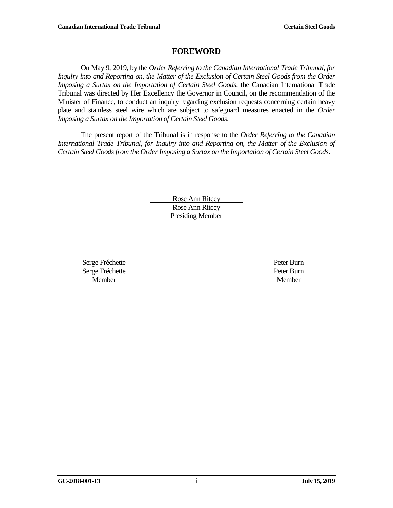# **FOREWORD**

<span id="page-2-0"></span>On May 9, 2019, by the *Order Referring to the Canadian International Trade Tribunal, for Inquiry into and Reporting on, the Matter of the Exclusion of Certain Steel Goods from the Order Imposing a Surtax on the Importation of Certain Steel Goods*, the Canadian International Trade Tribunal was directed by Her Excellency the Governor in Council, on the recommendation of the Minister of Finance, to conduct an inquiry regarding exclusion requests concerning certain heavy plate and stainless steel wire which are subject to safeguard measures enacted in the *Order Imposing a Surtax on the Importation of Certain Steel Goods*.

The present report of the Tribunal is in response to the *Order Referring to the Canadian International Trade Tribunal, for Inquiry into and Reporting on, the Matter of the Exclusion of Certain Steel Goods from the Order Imposing a Surtax on the Importation of Certain Steel Goods*.

> Rose Ann Ritcey Rose Ann Ritcey Presiding Member

Serge Fréchette Peter Burn Serge Fréchette Peter Burn Member Member and the Member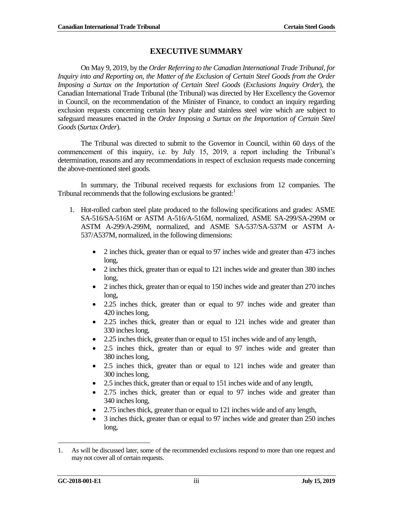# **EXECUTIVE SUMMARY**

<span id="page-4-0"></span>On May 9, 2019, by the *Order Referring to the Canadian International Trade Tribunal, for Inquiry into and Reporting on, the Matter of the Exclusion of Certain Steel Goods from the Order Imposing a Surtax on the Importation of Certain Steel Goods* (*Exclusions Inquiry Order*), the Canadian International Trade Tribunal (the Tribunal) was directed by Her Excellency the Governor in Council, on the recommendation of the Minister of Finance, to conduct an inquiry regarding exclusion requests concerning certain heavy plate and stainless steel wire which are subject to safeguard measures enacted in the *Order Imposing a Surtax on the Importation of Certain Steel Goods*(*Surtax Order*).

The Tribunal was directed to submit to the Governor in Council, within 60 days of the commencement of this inquiry, i.e. by July 15, 2019, a report including the Tribunal's determination, reasons and any recommendations in respect of exclusion requests made concerning the above-mentioned steel goods.

In summary, the Tribunal received requests for exclusions from 12 companies. The Tribunal recommends that the following exclusions be granted: $<sup>1</sup>$ </sup>

- 1. Hot-rolled carbon steel plate produced to the following specifications and grades: ASME SA-516/SA-516M or ASTM A-516/A-516M, normalized, ASME SA-299/SA-299M or ASTM A-299/A-299M, normalized, and ASME SA-537/SA-537M or ASTM A-537/A537M, normalized, in the following dimensions:
	- 2 inches thick, greater than or equal to 97 inches wide and greater than 473 inches long,
	- 2 inches thick, greater than or equal to 121 inches wide and greater than 380 inches long,
	- 2 inches thick, greater than or equal to 150 inches wide and greater than 270 inches long,
	- 2.25 inches thick, greater than or equal to 97 inches wide and greater than 420 inches long,
	- 2.25 inches thick, greater than or equal to 121 inches wide and greater than 330 inches long,
	- 2.25 inches thick, greater than or equal to 151 inches wide and of any length,
	- 2.5 inches thick, greater than or equal to 97 inches wide and greater than 380 inches long,
	- 2.5 inches thick, greater than or equal to 121 inches wide and greater than 300 incheslong,
	- 2.5 inches thick, greater than or equal to 151 inches wide and of any length,
	- 2.75 inches thick, greater than or equal to 97 inches wide and greater than 340 inches long,
	- 2.75 inches thick, greater than or equal to 121 inches wide and of any length,
	- 3 inches thick, greater than or equal to 97 inches wide and greater than 250 inches long,

<sup>1.</sup> As will be discussed later, some of the recommended exclusions respond to more than one request and may not cover all of certain requests.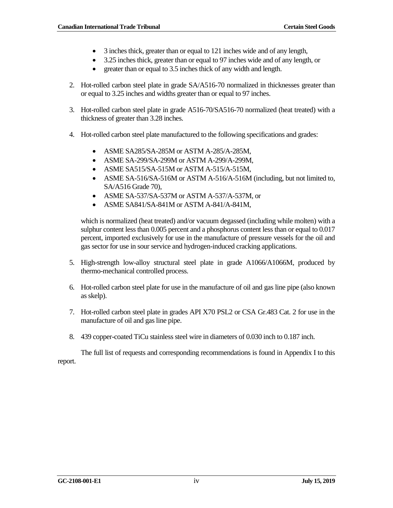- 3 inches thick, greater than or equal to 121 inches wide and of any length,
- 3.25 inches thick, greater than or equal to 97 inches wide and of any length, or
- greater than or equal to 3.5 inches thick of any width and length.
- 2. Hot-rolled carbon steel plate in grade SA/A516-70 normalized in thicknesses greater than or equal to 3.25 inches and widths greater than or equal to 97 inches.
- 3. Hot-rolled carbon steel plate in grade A516-70/SA516-70 normalized (heat treated) with a thickness of greater than 3.28 inches.
- 4. Hot-rolled carbon steel plate manufactured to the following specifications and grades:
	- ASME SA285/SA-285M or ASTM A-285/A-285M,
	- ASME SA-299/SA-299M or ASTM A-299/A-299M,
	- ASME SA515/SA-515M or ASTM A-515/A-515M,
	- ASME SA-516/SA-516M or ASTM A-516/A-516M (including, but not limited to, SA/A516 Grade 70),
	- ASME SA-537/SA-537M or ASTM A-537/A-537M, or
	- ASME SA841/SA-841M or ASTM A-841/A-841M,

which is normalized (heat treated) and/or vacuum degassed (including while molten) with a sulphur content less than 0.005 percent and a phosphorus content less than or equal to 0.017 percent, imported exclusively for use in the manufacture of pressure vessels for the oil and gas sector for use in sour service and hydrogen-induced cracking applications.

- 5. High-strength low-alloy structural steel plate in grade A1066/A1066M, produced by thermo-mechanical controlled process.
- 6. Hot-rolled carbon steel plate for use in the manufacture of oil and gas line pipe (also known as skelp).
- 7. Hot-rolled carbon steel plate in grades API X70 PSL2 or CSA Gr.483 Cat. 2 for use in the manufacture of oil and gas line pipe.
- 8. 439 copper-coated TiCu stainless steel wire in diameters of 0.030 inch to 0.187 inch.

The full list of requests and corresponding recommendations is found in Appendix I to this report.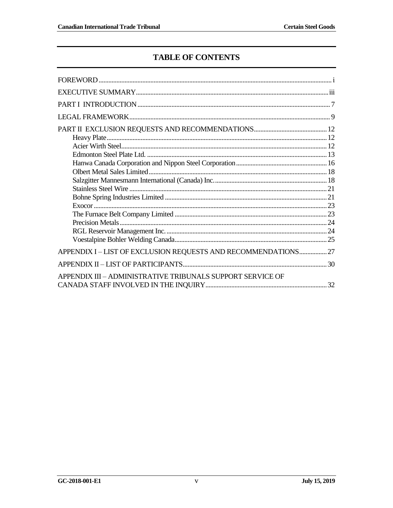# **TABLE OF CONTENTS**

| APPENDIX I-LIST OF EXCLUSION REQUESTS AND RECOMMENDATIONS 27 |  |
|--------------------------------------------------------------|--|
|                                                              |  |
| APPENDIX III – ADMINISTRATIVE TRIBUNALS SUPPORT SERVICE OF   |  |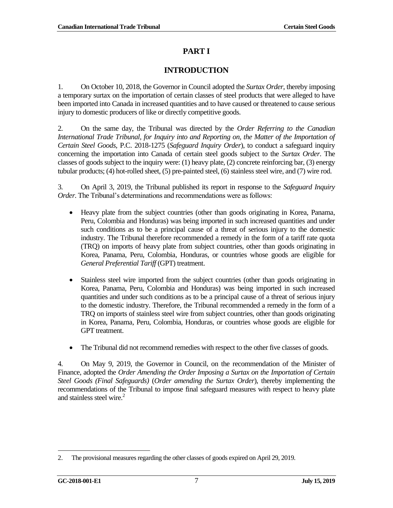# **PART I**

# **INTRODUCTION**

<span id="page-8-0"></span>1. On October 10, 2018, the Governor in Council adopted the *Surtax Order*, thereby imposing a temporary surtax on the importation of certain classes of steel products that were alleged to have been imported into Canada in increased quantities and to have caused or threatened to cause serious injury to domestic producers of like or directly competitive goods.

2. On the same day, the Tribunal was directed by the *Order Referring to the Canadian International Trade Tribunal, for Inquiry into and Reporting on, the Matter of the Importation of Certain Steel Goods*, P.C. 2018-1275 (*Safeguard Inquiry Order*), to conduct a safeguard inquiry concerning the importation into Canada of certain steel goods subject to the *Surtax Order*. The classes of goods subject to the inquiry were: (1) heavy plate, (2) concrete reinforcing bar, (3) energy tubular products; (4) hot-rolled sheet, (5) pre-painted steel, (6) stainless steel wire, and (7) wire rod.

3. On April 3, 2019, the Tribunal published its report in response to the *Safeguard Inquiry Order*. The Tribunal's determinations and recommendations were as follows:

- Heavy plate from the subject countries (other than goods originating in Korea, Panama, Peru, Colombia and Honduras) was being imported in such increased quantities and under such conditions as to be a principal cause of a threat of serious injury to the domestic industry. The Tribunal therefore recommended a remedy in the form of a tariff rate quota (TRQ) on imports of heavy plate from subject countries, other than goods originating in Korea, Panama, Peru, Colombia, Honduras, or countries whose goods are eligible for *General Preferential Tariff* (GPT) treatment.
- Stainless steel wire imported from the subject countries (other than goods originating in Korea, Panama, Peru, Colombia and Honduras) was being imported in such increased quantities and under such conditions as to be a principal cause of a threat of serious injury to the domestic industry. Therefore, the Tribunal recommended a remedy in the form of a TRQ on imports of stainless steel wire from subject countries, other than goods originating in Korea, Panama, Peru, Colombia, Honduras, or countries whose goods are eligible for GPT treatment.
- The Tribunal did not recommend remedies with respect to the other five classes of goods.

4. On May 9, 2019, the Governor in Council, on the recommendation of the Minister of Finance, adopted the *Order Amending the Order Imposing a Surtax on the Importation of Certain Steel Goods (Final Safeguards)* (*Order amending the Surtax Order*), thereby implementing the recommendations of the Tribunal to impose final safeguard measures with respect to heavy plate and stainless steel wire. 2

<sup>2.</sup> The provisional measures regarding the other classes of goods expired on April 29, 2019.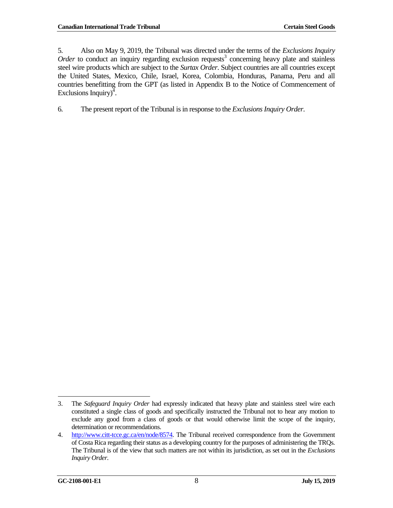5. Also on May 9, 2019, the Tribunal was directed under the terms of the *Exclusions Inquiry*  Order to conduct an inquiry regarding exclusion requests<sup>3</sup> concerning heavy plate and stainless steel wire products which are subject to the *Surtax Order*. Subject countries are all countries except the United States, Mexico, Chile, Israel, Korea, Colombia, Honduras, Panama, Peru and all countries benefitting from the GPT (as listed in Appendix B to the Notice of Commencement of Exclusions Inquiry) $^{\overline{4}}$ .

6. The present report of the Tribunal is in response to the *ExclusionsInquiry Order*.

 3. The *Safeguard Inquiry Order* had expressly indicated that heavy plate and stainless steel wire each constituted a single class of goods and specifically instructed the Tribunal not to hear any motion to exclude any good from a class of goods or that would otherwise limit the scope of the inquiry, determination or recommendations.

<sup>4.</sup> [http://www.citt-tcce.gc.ca/en/node/8574.](http://www.citt-tcce.gc.ca/en/node/8574) The Tribunal received correspondence from the Government of Costa Rica regarding their status as a developing country for the purposes of administering the TRQs. The Tribunal is of the view that such matters are not within its jurisdiction, as set out in the *Exclusions Inquiry Order*.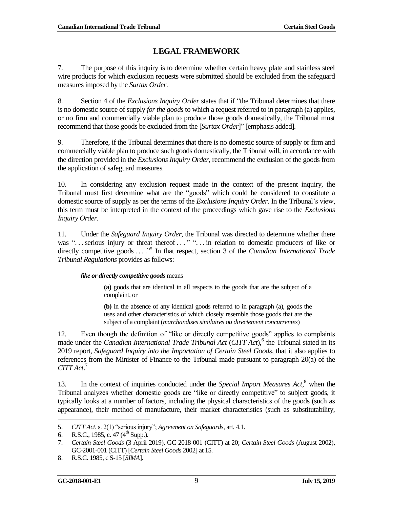# **LEGAL FRAMEWORK**

<span id="page-10-0"></span>7. The purpose of this inquiry is to determine whether certain heavy plate and stainless steel wire products for which exclusion requests were submitted should be excluded from the safeguard measures imposed by the *Surtax Order*.

8. Section 4 of the *Exclusions Inquiry Order* states that if "the Tribunal determines that there is no domestic source of supply *for the goods* to which a request referred to in paragraph (a) applies, or no firm and commercially viable plan to produce those goods domestically, the Tribunal must recommend that those goods be excluded from the [*Surtax Order*]" [emphasis added]*.*

9. Therefore, if the Tribunal determines that there is no domestic source of supply or firm and commercially viable plan to produce such goods domestically, the Tribunal will, in accordance with the direction provided in the *Exclusions Inquiry Order*, recommend the exclusion of the goods from the application of safeguard measures.

10. In considering any exclusion request made in the context of the present inquiry, the Tribunal must first determine what are the "goods" which could be considered to constitute a domestic source of supply as per the terms of the *Exclusions Inquiry Order*. In the Tribunal's view, this term must be interpreted in the context of the proceedings which gave rise to the *Exclusions Inquiry Order*.

11. Under the *Safeguard Inquiry Order*, the Tribunal was directed to determine whether there was "... serious injury or threat thereof ..." "... in relation to domestic producers of like or directly competitive goods . . . .<sup>55</sup> In that respect, section 3 of the *Canadian International Trade Tribunal Regulations* provides as follows:

### *like or directly competitive goods* means

**(a)** goods that are identical in all respects to the goods that are the subject of a complaint, or

**(b)** in the absence of any identical goods referred to in paragraph (a), goods the uses and other characteristics of which closely resemble those goods that are the subject of a complaint (*marchandises similaires ou directement concurrentes*)

12. Even though the definition of "like or directly competitive goods" applies to complaints made under the *Canadian International Trade Tribunal Act* (*CITT Act*), 6 the Tribunal stated in its 2019 report, *Safeguard Inquiry into the Importation of Certain Steel Goods*, that it also applies to references from the Minister of Finance to the Tribunal made pursuant to paragraph 20(a) of the *CITT Act*. 7

13. In the context of inquiries conducted under the *Special Import Measures Act*, <sup>8</sup> when the Tribunal analyzes whether domestic goods are "like or directly competitive" to subject goods, it typically looks at a number of factors, including the physical characteristics of the goods (such as appearance), their method of manufacture, their market characteristics (such as substitutability,

 $\overline{\phantom{a}}$ 5. *CITT Act*, s. 2(1) "serious injury"; *Agreement on Safeguards*, art. 4.1.

<sup>6.</sup> R.S.C., 1985, c. 47  $(4^{\text{th}}$  Supp.).

<sup>7.</sup> *Certain Steel Goods* (3 April 2019), GC-2018-001 (CITT) at 20; *Certain Steel Goods* (August 2002), GC-2001-001 (CITT) [*Certain Steel Goods* 2002] at 15.

<sup>8.</sup> R.S.C. 1985, c S-15 [*SIMA*].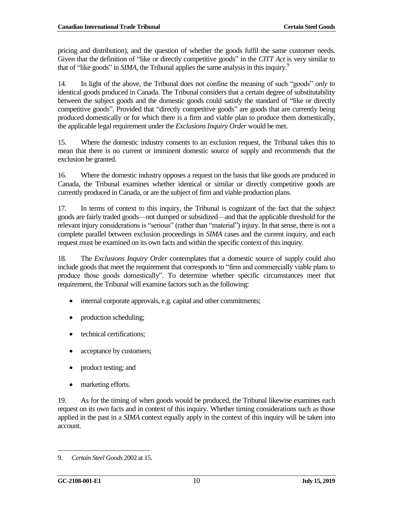pricing and distribution), and the question of whether the goods fulfil the same customer needs. Given that the definition of "like or directly competitive goods" in the *CITT Act* is very similar to that of "like goods" in *SIMA*, the Tribunal applies the same analysis in this inquiry.<sup>9</sup>

14. In light of the above, the Tribunal does not confine the meaning of such "goods" *only* to identical goods produced in Canada. The Tribunal considers that a certain degree of substitutability between the subject goods and the domestic goods could satisfy the standard of "like or directly competitive goods". Provided that "directly competitive goods" are goods that are currently being produced domestically or for which there is a firm and viable plan to produce them domestically, the applicable legal requirement under the *ExclusionsInquiry Order* would be met.

15. Where the domestic industry consents to an exclusion request, the Tribunal takes this to mean that there is no current or imminent domestic source of supply and recommends that the exclusion be granted.

16. Where the domestic industry opposes a request on the basis that like goods are produced in Canada, the Tribunal examines whether identical or similar or directly competitive goods are currently produced in Canada, or are the subject of firm and viable production plans.

17. In terms of context to this inquiry, the Tribunal is cognizant of the fact that the subject goods are fairly traded goods—not dumped or subsidized—and that the applicable threshold for the relevant injury considerations is "serious" (rather than "material") injury. In that sense, there is not a complete parallel between exclusion proceedings in *SIMA* cases and the current inquiry, and each request must be examined on its own facts and within the specific context of this inquiry.

18. The *Exclusions Inquiry Order* contemplates that a domestic source of supply could also include goods that meet the requirement that corresponds to "firm and commercially viable plans to produce those goods domestically". To determine whether specific circumstances meet that requirement, the Tribunal will examine factors such as the following:

- internal corporate approvals, e.g. capital and other commitments;
- production scheduling;
- technical certifications;
- acceptance by customers;
- product testing; and
- marketing efforts.

19. As for the timing of when goods would be produced, the Tribunal likewise examines each request on its own facts and in context of this inquiry. Whether timing considerations such as those applied in the past in a *SIMA* context equally apply in the context of this inquiry will be taken into account.

<sup>9.</sup> *Certain Steel Goods* 2002 at 15.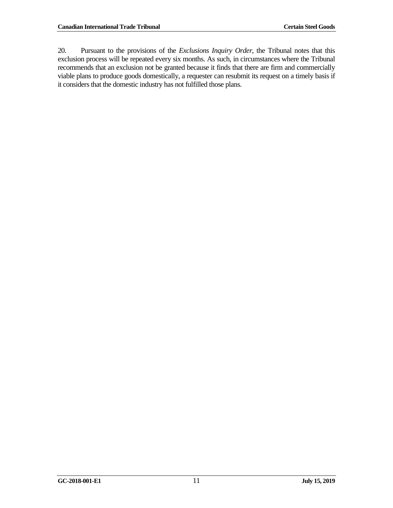20. Pursuant to the provisions of the *Exclusions Inquiry Order*, the Tribunal notes that this exclusion process will be repeated every six months. As such, in circumstances where the Tribunal recommends that an exclusion not be granted because it finds that there are firm and commercially viable plans to produce goods domestically, a requester can resubmit its request on a timely basis if it considers that the domestic industry has not fulfilled those plans.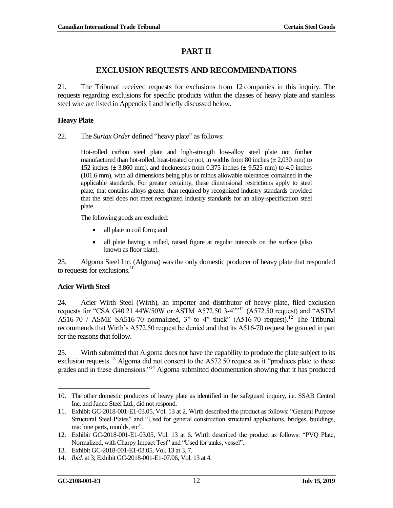# **PART II**

# **EXCLUSION REQUESTS AND RECOMMENDATIONS**

<span id="page-13-0"></span>21. The Tribunal received requests for exclusions from 12 companies in this inquiry. The requests regarding exclusions for specific products within the classes of heavy plate and stainless steel wire are listed in Appendix I and briefly discussed below.

#### <span id="page-13-1"></span>**Heavy Plate**

22. The *Surtax Order* defined "heavy plate" as follows:

Hot-rolled carbon steel plate and high-strength low-alloy steel plate not further manufactured than hot-rolled, heat-treated or not, in widths from 80 inches  $(\pm 2,030 \text{ mm})$  to 152 inches  $(\pm 3,860 \text{ mm})$ , and thicknesses from 0.375 inches  $(\pm 9.525 \text{ mm})$  to 4.0 inches (101.6 mm), with all dimensions being plus or minus allowable tolerances contained in the applicable standards. For greater certainty, these dimensional restrictions apply to steel plate, that contains alloys greater than required by recognized industry standards provided that the steel does not meet recognized industry standards for an alloy-specification steel plate.

The following goods are excluded:

- all plate in coil form; and
- all plate having a rolled, raised figure at regular intervals on the surface (also known as floor plate).

23. Algoma Steel Inc. (Algoma) was the only domestic producer of heavy plate that responded to requests for exclusions.<sup>10</sup>

#### <span id="page-13-2"></span>**Acier Wirth Steel**

24. Acier Wirth Steel (Wirth), an importer and distributor of heavy plate, filed exclusion requests for "CSA G40.21 44W/50W or ASTM A572.50 3-4""<sup>11</sup> (A572.50 request) and "ASTM A516-70 / ASME SA516-70 normalized, 3" to 4" thick"  $(A516-70$  request).<sup>12</sup> The Tribunal recommends that Wirth's A572.50 request be denied and that its A516-70 request be granted in part for the reasons that follow.

25. Wirth submitted that Algoma does not have the capability to produce the plate subject to its exclusion requests.<sup>13</sup> Algoma did not consent to the A572.50 request as it "produces plate to these grades and in these dimensions."<sup>14</sup> Algoma submitted documentation showing that it has produced

 $\overline{\phantom{a}}$ 

<sup>10.</sup> The other domestic producers of heavy plate as identified in the safeguard inquiry, i.e. SSAB Central Inc. and Janco Steel Ltd., did not respond.

<sup>11.</sup> Exhibit GC-2018-001-E1-03.05, Vol. 13 at 2. Wirth described the product as follows: "General Purpose Structural Steel Plates" and "Used for general construction structural applications, bridges, buildings, machine parts, moulds, etc".

<sup>12.</sup> Exhibit GC-2018-001-E1-03.05, Vol. 13 at 6. Wirth described the product as follows: "PVQ Plate, Normalized, with Charpy Impact Test" and "Used for tanks, vessel".

<sup>13.</sup> Exhibit GC-2018-001-E1-03.05, Vol. 13 at 3, 7.

<sup>14.</sup> *Ibid.* at 3; Exhibit GC-2018-001-E1-07.06, Vol. 13 at 4.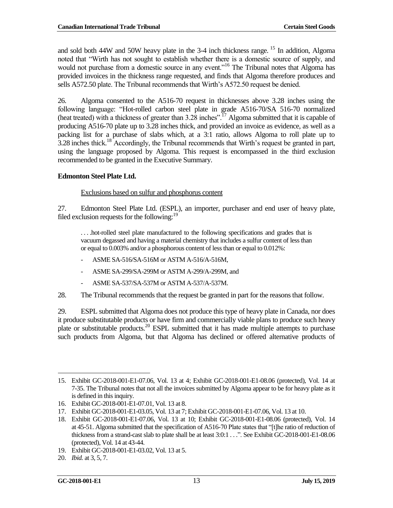and sold both  $44W$  and  $50W$  heavy plate in the 3-4 inch thickness range. <sup>15</sup> In addition, Algoma noted that "Wirth has not sought to establish whether there is a domestic source of supply, and would not purchase from a domestic source in any event."<sup>16</sup> The Tribunal notes that Algoma has provided invoices in the thickness range requested, and finds that Algoma therefore produces and sells A572.50 plate. The Tribunal recommends that Wirth's A572.50 request be denied.

26. Algoma consented to the A516-70 request in thicknesses above 3.28 inches using the following language: "Hot-rolled carbon steel plate in grade A516-70/SA 516-70 normalized (heat treated) with a thickness of greater than 3.28 inches".<sup>17</sup> Algoma submitted that it is capable of producing A516-70 plate up to 3.28 inches thick, and provided an invoice as evidence, as well as a packing list for a purchase of slabs which, at a 3:1 ratio, allows Algoma to roll plate up to 3.28 inches thick.<sup>18</sup> Accordingly, the Tribunal recommends that Wirth's request be granted in part, using the language proposed by Algoma. This request is encompassed in the third exclusion recommended to be granted in the Executive Summary.

### <span id="page-14-0"></span>**Edmonton Steel Plate Ltd.**

#### Exclusions based on sulfur and phosphorus content

27. Edmonton Steel Plate Ltd. (ESPL), an importer, purchaser and end user of heavy plate, filed exclusion requests for the following:  $19$ 

. . . .hot-rolled steel plate manufactured to the following specifications and grades that is vacuum degassed and having a material chemistry that includes a sulfur content of less than or equal to 0.003% and/or a phosphorous content of less than or equal to 0.012%:

- ASME SA-516/SA-516M or ASTM A-516/A-516M,
- ASME SA-299/SA-299M or ASTM A-299/A-299M, and
- ASME SA-537/SA-537M or ASTM A-537/A-537M.

28. The Tribunal recommends that the request be granted in part for the reasons that follow.

29. ESPL submitted that Algoma does not produce this type of heavy plate in Canada, nor does it produce substitutable products or have firm and commercially viable plans to produce such heavy plate or substitutable products.<sup>20</sup> ESPL submitted that it has made multiple attempts to purchase such products from Algoma, but that Algoma has declined or offered alternative products of

 15. Exhibit GC-2018-001-E1-07.06, Vol. 13 at 4; Exhibit GC-2018-001-E1-08.06 (protected), Vol. 14 at 7-35. The Tribunal notes that not all the invoices submitted by Algoma appear to be for heavy plate as it is defined in this inquiry.

<sup>16.</sup> Exhibit GC-2018-001-E1-07.01, Vol. 13 at 8.

<sup>17.</sup> Exhibit GC-2018-001-E1-03.05, Vol. 13 at 7; Exhibit GC-2018-001-E1-07.06, Vol. 13 at 10.

<sup>18.</sup> Exhibit GC-2018-001-E1-07.06, Vol. 13 at 10; Exhibit GC-2018-001-E1-08.06 (protected), Vol. 14 at 45-51. Algoma submitted that the specification of A516-70 Plate states that "[t]he ratio of reduction of thickness from a strand-cast slab to plate shall be at least 3:0:1 . . .". See Exhibit GC-2018-001-E1-08.06 (protected), Vol. 14 at 43-44.

<sup>19.</sup> Exhibit GC-2018-001-E1-03.02, Vol. 13 at 5.

<sup>20.</sup> *Ibid.* at 3, 5, 7.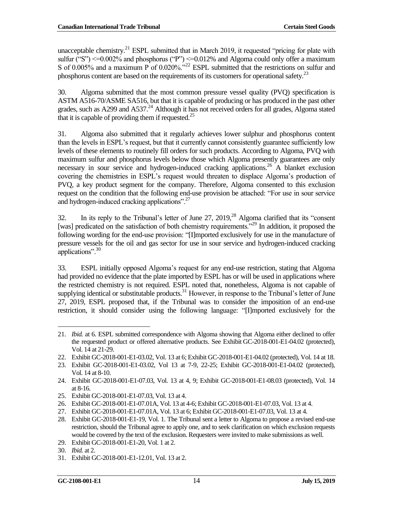unacceptable chemistry.<sup>21</sup> ESPL submitted that in March 2019, it requested "pricing for plate with sulfur ("S") <= 0.002% and phosphorus ("P") <= 0.012% and Algoma could only offer a maximum S of 0.005% and a maximum P of 0.020%."<sup>22</sup> ESPL submitted that the restrictions on sulfur and phosphorus content are based on the requirements of its customers for operational safety.<sup>23</sup>

30. Algoma submitted that the most common pressure vessel quality (PVQ) specification is ASTM A516-70/ASME SA516, but that it is capable of producing or has produced in the past other grades, such as A299 and A537.<sup>24</sup> Although it has not received orders for all grades, Algoma stated that it is capable of providing them if requested.<sup>25</sup>

31. Algoma also submitted that it regularly achieves lower sulphur and phosphorus content than the levels in ESPL's request, but that it currently cannot consistently guarantee sufficiently low levels of these elements to routinely fill orders for such products. According to Algoma, PVQ with maximum sulfur and phosphorus levels below those which Algoma presently guarantees are only necessary in sour service and hydrogen-induced cracking applications.<sup>26</sup> A blanket exclusion covering the chemistries in ESPL's request would threaten to displace Algoma's production of PVQ, a key product segment for the company. Therefore, Algoma consented to this exclusion request on the condition that the following end-use provision be attached: "For use in sour service and hydrogen-induced cracking applications".<sup>27</sup>

32. In its reply to the Tribunal's letter of June  $27$ ,  $2019$ ,  $28$  Algoma clarified that its "consent [was] predicated on the satisfaction of both chemistry requirements.<sup>329</sup> In addition, it proposed the following wording for the end-use provision: "[I]mported exclusively for use in the manufacture of pressure vessels for the oil and gas sector for use in sour service and hydrogen-induced cracking applications".<sup>30</sup>

33. ESPL initially opposed Algoma's request for any end-use restriction, stating that Algoma had provided no evidence that the plate imported by ESPL has or will be used in applications where the restricted chemistry is not required. ESPL noted that, nonetheless, Algoma is not capable of supplying identical or substitutable products.<sup>31</sup> However, in response to the Tribunal's letter of June 27, 2019, ESPL proposed that, if the Tribunal was to consider the imposition of an end-use restriction, it should consider using the following language: "[I]mported exclusively for the

 21. *Ibid.* at 6. ESPL submitted correspondence with Algoma showing that Algoma either declined to offer the requested product or offered alternative products. See Exhibit GC-2018-001-E1-04.02 (protected), Vol. 14 at 21-29.

<sup>22.</sup> Exhibit GC-2018-001-E1-03.02, Vol. 13 at 6; Exhibit GC-2018-001-E1-04.02 (protected), Vol. 14 at 18.

<sup>23.</sup> Exhibit GC-2018-001-E1-03.02, Vol 13 at 7-9, 22-25; Exhibit GC-2018-001-E1-04.02 (protected), Vol. 14 at 8-10.

<sup>24.</sup> Exhibit GC-2018-001-E1-07.03, Vol. 13 at 4, 9; Exhibit GC-2018-001-E1-08.03 (protected), Vol. 14 at 8-16.

<sup>25.</sup> Exhibit GC-2018-001-E1-07.03, Vol. 13 at 4.

<sup>26.</sup> Exhibit GC-2018-001-E1-07.01A, Vol. 13 at 4-6; Exhibit GC-2018-001-E1-07.03, Vol. 13 at 4.

<sup>27.</sup> Exhibit GC-2018-001-E1-07.01A, Vol. 13 at 6; Exhibit GC-2018-001-E1-07.03, Vol. 13 at 4.

<sup>28.</sup> Exhibit GC-2018-001-E1-19, Vol. 1. The Tribunal sent a letter to Algoma to propose a revised end-use restriction, should the Tribunal agree to apply one, and to seek clarification on which exclusion requests would be covered by the text of the exclusion. Requesters were invited to make submissions as well.

<sup>29.</sup> Exhibit GC-2018-001-E1-20, Vol. 1 at 2.

<sup>30.</sup> *Ibid.* at 2.

<sup>31.</sup> Exhibit GC-2018-001-E1-12.01, Vol. 13 at 2.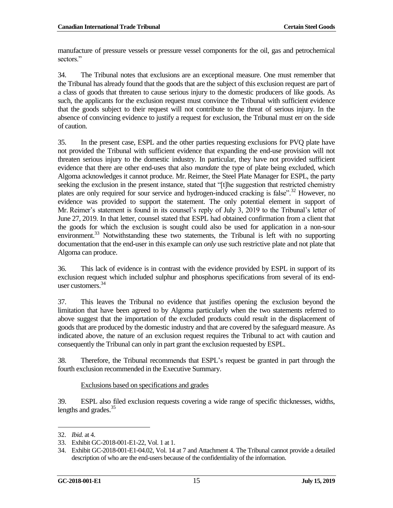manufacture of pressure vessels or pressure vessel components for the oil, gas and petrochemical sectors."

34. The Tribunal notes that exclusions are an exceptional measure. One must remember that the Tribunal has already found that the goods that are the subject of this exclusion request are part of a class of goods that threaten to cause serious injury to the domestic producers of like goods. As such, the applicants for the exclusion request must convince the Tribunal with sufficient evidence that the goods subject to their request will not contribute to the threat of serious injury. In the absence of convincing evidence to justify a request for exclusion, the Tribunal must err on the side of caution.

35. In the present case, ESPL and the other parties requesting exclusions for PVQ plate have not provided the Tribunal with sufficient evidence that expanding the end-use provision will not threaten serious injury to the domestic industry. In particular, they have not provided sufficient evidence that there are other end-uses that also *mandate* the type of plate being excluded, which Algoma acknowledges it cannot produce. Mr. Reimer, the Steel Plate Manager for ESPL, the party seeking the exclusion in the present instance, stated that "[t]he suggestion that restricted chemistry plates are only required for sour service and hydrogen-induced cracking is false".<sup>32</sup> However, no evidence was provided to support the statement. The only potential element in support of Mr. Reimer's statement is found in its counsel's reply of July 3, 2019 to the Tribunal's letter of June 27, 2019. In that letter, counsel stated that ESPL had obtained confirmation from a client that the goods for which the exclusion is sought could also be used for application in a non-sour environment.<sup>33</sup> Notwithstanding these two statements, the Tribunal is left with no supporting documentation that the end-user in this example can *only* use such restrictive plate and not plate that Algoma can produce.

36. This lack of evidence is in contrast with the evidence provided by ESPL in support of its exclusion request which included sulphur and phosphorus specifications from several of its enduser customers.<sup>34</sup>

37. This leaves the Tribunal no evidence that justifies opening the exclusion beyond the limitation that have been agreed to by Algoma particularly when the two statements referred to above suggest that the importation of the excluded products could result in the displacement of goods that are produced by the domestic industry and that are covered by the safeguard measure. As indicated above, the nature of an exclusion request requires the Tribunal to act with caution and consequently the Tribunal can only in part grant the exclusion requested by ESPL.

38. Therefore, the Tribunal recommends that ESPL's request be granted in part through the fourth exclusion recommended in the Executive Summary.

Exclusions based on specifications and grades

39. ESPL also filed exclusion requests covering a wide range of specific thicknesses, widths, lengths and grades.<sup>35</sup>

 $\overline{\phantom{a}}$ 32. *Ibid.* at 4.

<sup>33.</sup> Exhibit GC-2018-001-E1-22, Vol. 1 at 1.

<sup>34.</sup> Exhibit GC-2018-001-E1-04.02, Vol. 14 at 7 and Attachment 4. The Tribunal cannot provide a detailed description of who are the end-users because of the confidentiality of the information.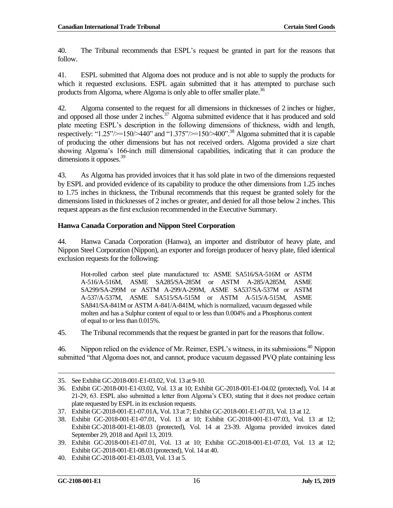40. The Tribunal recommends that ESPL's request be granted in part for the reasons that follow.

41. ESPL submitted that Algoma does not produce and is not able to supply the products for which it requested exclusions. ESPL again submitted that it has attempted to purchase such products from Algoma, where Algoma is only able to offer smaller plate.<sup>36</sup>

42. Algoma consented to the request for all dimensions in thicknesses of 2 inches or higher, and opposed all those under 2 inches.<sup>37</sup> Algoma submitted evidence that it has produced and sold plate meeting ESPL's description in the following dimensions of thickness, width and length, respectively: "1.25"/ $>150$ / $>440$ " and "1.375"/ $>150$ / $>400$ ".<sup>38</sup> Algoma submitted that it is capable of producing the other dimensions but has not received orders. Algoma provided a size chart showing Algoma's 166-inch mill dimensional capabilities, indicating that it can produce the dimensions it opposes.<sup>39</sup>

43. As Algoma has provided invoices that it has sold plate in two of the dimensions requested by ESPL and provided evidence of its capability to produce the other dimensions from 1.25 inches to 1.75 inches in thickness, the Tribunal recommends that this request be granted solely for the dimensions listed in thicknesses of 2 inches or greater, and denied for all those below 2 inches. This request appears as the first exclusion recommended in the Executive Summary.

#### <span id="page-17-0"></span>**Hanwa Canada Corporation and Nippon Steel Corporation**

44. Hanwa Canada Corporation (Hanwa), an importer and distributor of heavy plate, and Nippon Steel Corporation (Nippon), an exporter and foreign producer of heavy plate, filed identical exclusion requests for the following:

Hot-rolled carbon steel plate manufactured to: ASME SA516/SA-516M or ASTM A-516/A-516M, ASME SA285/SA-285M or ASTM A-285/A285M, ASME SA299/SA-299M or ASTM A-299/A-299M, ASME SA537/SA-537M or ASTM A-537/A-537M, ASME SA515/SA-515M or ASTM A-515/A-515M, ASME SA841/SA-841M or ASTM A-841/A-841M, which is normalized, vacuum degassed while molten and has a Sulphur content of equal to or less than 0.004% and a Phosphorus content of equal to or less than 0.015%.

45. The Tribunal recommends that the request be granted in part for the reasons that follow.

46. Nippon relied on the evidence of Mr. Reimer, ESPL's witness, in its submissions.<sup>40</sup> Nippon submitted "that Algoma does not, and cannot, produce vacuum degassed PVQ plate containing less

<sup>35.</sup> See Exhibit GC-2018-001-E1-03.02, Vol. 13 at 9-10.

<sup>36.</sup> Exhibit GC-2018-001-E1-03.02, Vol. 13 at 10; Exhibit GC-2018-001-E1-04.02 (protected), Vol. 14 at 21-29, 63. ESPL also submitted a letter from Algoma's CEO, stating that it does not produce certain plate requested by ESPL in its exclusion requests.

<sup>37.</sup> Exhibit GC-2018-001-E1-07.01A, Vol. 13 at 7; Exhibit GC-2018-001-E1-07.03, Vol. 13 at 12.

<sup>38.</sup> Exhibit GC-2018-001-E1-07.01, Vol. 13 at 10; Exhibit GC-2018-001-E1-07.03, Vol. 13 at 12; Exhibit GC-2018-001-E1-08.03 (protected), Vol. 14 at 23-39. Algoma provided invoices dated September 29, 2018 and April 13, 2019.

<sup>39.</sup> Exhibit GC-2018-001-E1-07.01, Vol. 13 at 10; Exhibit GC-2018-001-E1-07.03, Vol. 13 at 12; Exhibit GC-2018-001-E1-08.03 (protected), Vol. 14 at 40.

<sup>40.</sup> Exhibit GC-2018-001-E1-03.03, Vol. 13 at 5.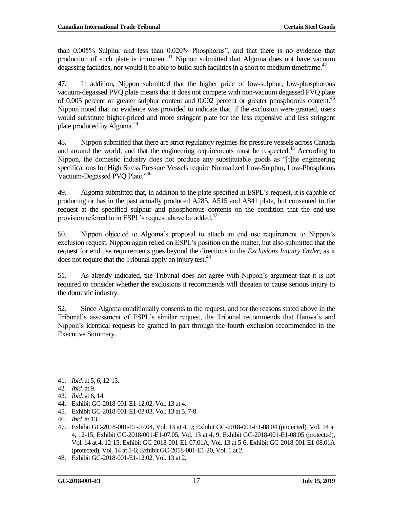than 0.005% Sulphur and less than 0.020% Phosphorus", and that there is no evidence that production of such plate is imminent.<sup>41</sup> Nippon submitted that Algoma does not have vacuum degassing facilities, nor would it be able to build such facilities in a short to medium timeframe.<sup>42</sup>

47. In addition, Nippon submitted that the higher price of low-sulphur, low-phosphorous vacuum-degassed PVQ plate means that it does not compete with non-vacuum degassed PVQ plate of 0.005 percent or greater sulphur content and 0.002 percent or greater phosphorous content.<sup>43</sup> Nippon noted that no evidence was provided to indicate that, if the exclusion were granted, users would substitute higher-priced and more stringent plate for the less expensive and less stringent plate produced by Algoma.<sup>44</sup>

48. Nippon submitted that there are strict regulatory regimes for pressure vessels across Canada and around the world, and that the engineering requirements must be respected.<sup>45</sup> According to Nippon, the domestic industry does not produce any substitutable goods as "[t]he engineering specifications for High Stress Pressure Vessels require Normalized Low-Sulphur, Low-Phosphorus Vacuum-Degassed PVQ Plate."<sup>46</sup>

49. Algoma submitted that, in addition to the plate specified in ESPL's request, it is capable of producing or has in the past actually produced A285, A515 and A841 plate, but consented to the request at the specified sulphur and phosphorous contents on the condition that the end-use provision referred to in ESPL's request above be added.<sup>47</sup>

50. Nippon objected to Algoma's proposal to attach an end use requirement to Nippon's exclusion request. Nippon again relied on ESPL's position on the matter, but also submitted that the request for end use requirements goes beyond the directions in the *Exclusions Inquiry Order*, as it does not require that the Tribunal apply an injury test.<sup>48</sup>

51. As already indicated, the Tribunal does not agree with Nippon's argument that it is not required to consider whether the exclusions it recommends will threaten to cause serious injury to the domestic industry.

52. Since Algoma conditionally consents to the request, and for the reasons stated above in the Tribunal's assessment of ESPL's similar request, the Tribunal recommends that Hanwa's and Nippon's identical requests be granted in part through the fourth exclusion recommended in the Executive Summary.

<sup>41.</sup> *Ibid.* at 5, 6, 12-13.

<sup>42.</sup> *Ibid.* at 9.

<sup>43.</sup> *Ibid.* at 6, 14.

<sup>44.</sup> Exhibit GC-2018-001-E1-12.02, Vol. 13 at 4.

<sup>45.</sup> Exhibit GC-2018-001-E1-03.03, Vol. 13 at 5, 7-8.

<sup>46.</sup> *Ibid.* at 13.

<sup>47.</sup> Exhibit GC-2018-001-E1-07.04, Vol. 13 at 4, 9; Exhibit GC-2018-001-E1-08.04 (protected), Vol. 14 at 4, 12-15; Exhibit GC-2018-001-E1-07.05, Vol. 13 at 4, 9; Exhibit GC-2018-001-E1-08.05 (protected), Vol. 14 at 4, 12-15; Exhibit GC-2018-001-E1-07.01A, Vol. 13 at 5-6; Exhibit GC-2018-001-E1-08.01A (protected), Vol. 14 at 5-6; Exhibit GC-2018-001-E1-20, Vol. 1 at 2.

<sup>48.</sup> Exhibit GC-2018-001-E1-12.02, Vol. 13 at 2.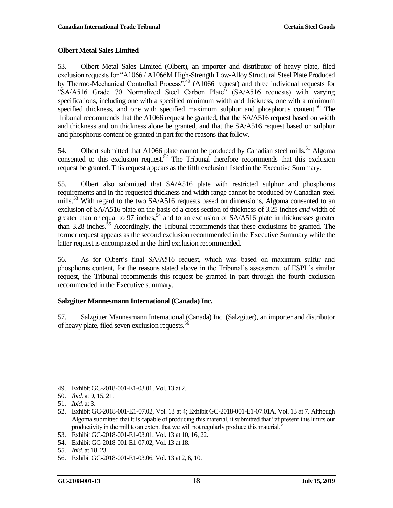### <span id="page-19-0"></span>**Olbert Metal Sales Limited**

53. Olbert Metal Sales Limited (Olbert), an importer and distributor of heavy plate, filed exclusion requests for "A1066 / A1066M High-Strength Low-Alloy Structural Steel Plate Produced by Thermo-Mechanical Controlled Process",<sup>49</sup> (A1066 request) and three individual requests for "SA/A516 Grade 70 Normalized Steel Carbon Plate" (SA/A516 requests) with varying specifications, including one with a specified minimum width and thickness, one with a minimum specified thickness, and one with specified maximum sulphur and phosphorus content.<sup>50</sup> The Tribunal recommends that the A1066 request be granted, that the SA/A516 request based on width and thickness and on thickness alone be granted, and that the SA/A516 request based on sulphur and phosphorus content be granted in part for the reasons that follow.

54. Olbert submitted that A1066 plate cannot be produced by Canadian steel mills.<sup>51</sup> Algoma consented to this exclusion request.<sup>52</sup> The Tribunal therefore recommends that this exclusion request be granted. This request appears as the fifth exclusion listed in the Executive Summary.

55. Olbert also submitted that SA/A516 plate with restricted sulphur and phosphorus requirements and in the requested thickness and width range cannot be produced by Canadian steel mills.<sup>53</sup> With regard to the two SA/A516 requests based on dimensions, Algoma consented to an exclusion of SA/A516 plate on the basis of a cross section of thickness of 3.25 inches *and* width of greater than or equal to 97 inches,<sup>54</sup> and to an exclusion of  $SA/AS16$  plate in thicknesses greater than 3.28 inches.<sup>55</sup> Accordingly, the Tribunal recommends that these exclusions be granted. The former request appears as the second exclusion recommended in the Executive Summary while the latter request is encompassed in the third exclusion recommended.

56. As for Olbert's final SA/A516 request, which was based on maximum sulfur and phosphorus content, for the reasons stated above in the Tribunal's assessment of ESPL's similar request, the Tribunal recommends this request be granted in part through the fourth exclusion recommended in the Executive summary.

### <span id="page-19-1"></span>**Salzgitter Mannesmann International (Canada) Inc.**

57. Salzgitter Mannesmann International (Canada) Inc. (Salzgitter), an importer and distributor of heavy plate, filed seven exclusion requests.<sup>56</sup>

 $\overline{\phantom{a}}$ 49. Exhibit GC-2018-001-E1-03.01, Vol. 13 at 2.

<sup>50.</sup> *Ibid.* at 9, 15, 21.

<sup>51.</sup> *Ibid.* at 3.

<sup>52.</sup> Exhibit GC-2018-001-E1-07.02, Vol. 13 at 4; Exhibit GC-2018-001-E1-07.01A, Vol. 13 at 7. Although Algoma submitted that it is capable of producing this material, it submitted that "at present this limits our productivity in the mill to an extent that we will not regularly produce this material."

<sup>53.</sup> Exhibit GC-2018-001-E1-03.01, Vol. 13 at 10, 16, 22.

<sup>54.</sup> Exhibit GC-2018-001-E1-07.02, Vol. 13 at 18.

<sup>55.</sup> *Ibid.* at 18, 23.

<sup>56.</sup> Exhibit GC-2018-001-E1-03.06, Vol. 13 at 2, 6, 10.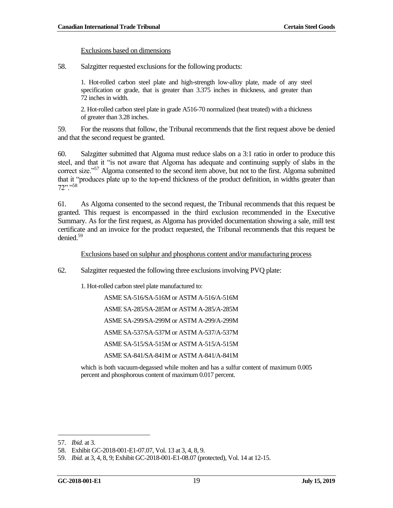#### Exclusions based on dimensions

58. Salzgitter requested exclusions for the following products:

1. Hot-rolled carbon steel plate and high-strength low-alloy plate, made of any steel specification or grade, that is greater than 3.375 inches in thickness, and greater than 72 inches in width.

2. Hot-rolled carbon steel plate in grade A516-70 normalized (heat treated) with a thickness of greater than 3.28 inches.

59. For the reasons that follow, the Tribunal recommends that the first request above be denied and that the second request be granted.

60. Salzgitter submitted that Algoma must reduce slabs on a 3:1 ratio in order to produce this steel, and that it "is not aware that Algoma has adequate and continuing supply of slabs in the correct size."<sup>57</sup> Algoma consented to the second item above, but not to the first. Algoma submitted that it "produces plate up to the top-end thickness of the product definition, in widths greater than 72"." 58

61. As Algoma consented to the second request, the Tribunal recommends that this request be granted. This request is encompassed in the third exclusion recommended in the Executive Summary. As for the first request, as Algoma has provided documentation showing a sale, mill test certificate and an invoice for the product requested, the Tribunal recommends that this request be denied.<sup>59</sup>

Exclusions based on sulphur and phosphorus content and/or manufacturing process

62. Salzgitter requested the following three exclusions involving PVQ plate:

1. Hot-rolled carbon steel plate manufactured to:

ASME SA-516/SA-516M or ASTM A-516/A-516M

ASME SA-285/SA-285M or ASTM A-285/A-285M

ASME SA-299/SA-299M or ASTM A-299/A-299M

ASME SA-537/SA-537M or ASTM A-537/A-537M

ASME SA-515/SA-515M or ASTM A-515/A-515M

ASME SA-841/SA-841M or ASTM A-841/A-841M

which is both vacuum-degassed while molten and has a sulfur content of maximum 0.005 percent and phosphorous content of maximum 0.017 percent.

<sup>57.</sup> *Ibid.* at 3.

<sup>58.</sup> Exhibit GC-2018-001-E1-07.07, Vol. 13 at 3, 4, 8, 9.

<sup>59.</sup> *Ibid.* at 3, 4, 8, 9; Exhibit GC-2018-001-E1-08.07 (protected), Vol. 14 at 12-15.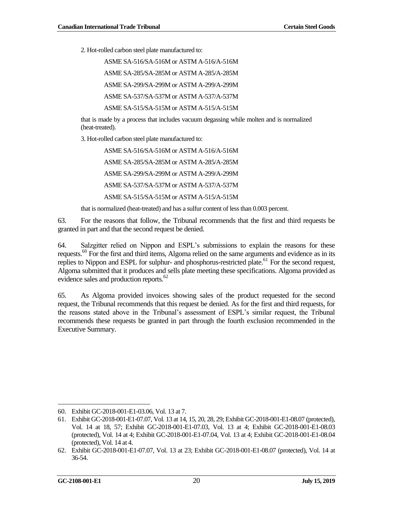2. Hot-rolled carbon steel plate manufactured to:

ASME SA-516/SA-516M or ASTM A-516/A-516M ASME SA-285/SA-285M or ASTM A-285/A-285M ASME SA-299/SA-299M or ASTM A-299/A-299M ASME SA-537/SA-537M or ASTM A-537/A-537M ASME SA-515/SA-515M or ASTM A-515/A-515M

that is made by a process that includes vacuum degassing while molten and is normalized (heat-treated).

3. Hot-rolled carbon steel plate manufactured to:

ASME SA-516/SA-516M or ASTM A-516/A-516M ASME SA-285/SA-285M or ASTM A-285/A-285M ASME SA-299/SA-299M or ASTM A-299/A-299M ASME SA-537/SA-537M or ASTM A-537/A-537M ASME SA-515/SA-515M or ASTM A-515/A-515M

that is normalized (heat-treated) and has a sulfur content of less than 0.003 percent.

63. For the reasons that follow, the Tribunal recommends that the first and third requests be granted in part and that the second request be denied.

64. Salzgitter relied on Nippon and ESPL's submissions to explain the reasons for these requests.<sup>60</sup> For the first and third items, Algoma relied on the same arguments and evidence as in its replies to Nippon and ESPL for sulphur- and phosphorus-restricted plate.<sup>61</sup> For the second request, Algoma submitted that it produces and sells plate meeting these specifications. Algoma provided as evidence sales and production reports.<sup>62</sup>

65. As Algoma provided invoices showing sales of the product requested for the second request, the Tribunal recommends that this request be denied. As for the first and third requests, for the reasons stated above in the Tribunal's assessment of ESPL's similar request, the Tribunal recommends these requests be granted in part through the fourth exclusion recommended in the Executive Summary.

<sup>60.</sup> Exhibit GC-2018-001-E1-03.06, Vol. 13 at 7.

<sup>61.</sup> Exhibit GC-2018-001-E1-07.07, Vol. 13 at 14, 15, 20, 28, 29; Exhibit GC-2018-001-E1-08.07 (protected), Vol. 14 at 18, 57; Exhibit GC-2018-001-E1-07.03, Vol. 13 at 4; Exhibit GC-2018-001-E1-08.03 (protected), Vol. 14 at 4; Exhibit GC-2018-001-E1-07.04, Vol. 13 at 4; Exhibit GC-2018-001-E1-08.04 (protected), Vol. 14 at 4.

<sup>62.</sup> Exhibit GC-2018-001-E1-07.07, Vol. 13 at 23; Exhibit GC-2018-001-E1-08.07 (protected), Vol. 14 at 36-54.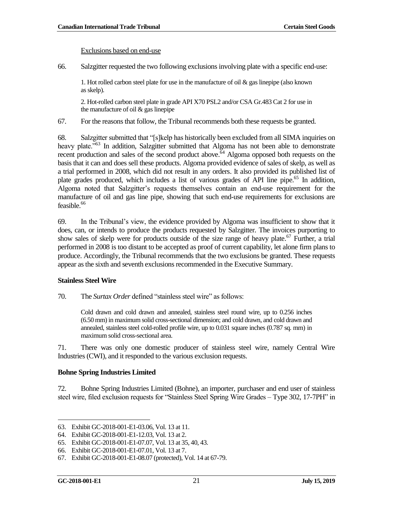#### Exclusions based on end-use

66. Salzgitter requested the two following exclusions involving plate with a specific end-use:

1. Hot rolled carbon steel plate for use in the manufacture of oil  $\&$  gas linepipe (also known as skelp).

2. Hot-rolled carbon steel plate in grade API X70 PSL2 and/or CSA Gr.483 Cat 2 for use in the manufacture of oil & gas linepipe

67. For the reasons that follow, the Tribunal recommends both these requests be granted.

68. Salzgitter submitted that "[s]kelp has historically been excluded from all SIMA inquiries on heavy plate.<sup>563</sup> In addition, Salzgitter submitted that Algoma has not been able to demonstrate recent production and sales of the second product above.  $64$  Algoma opposed both requests on the basis that it can and does sell these products. Algoma provided evidence of sales of skelp, as well as a trial performed in 2008, which did not result in any orders. It also provided its published list of plate grades produced, which includes a list of various grades of API line pipe.<sup>65</sup> In addition, Algoma noted that Salzgitter's requests themselves contain an end-use requirement for the manufacture of oil and gas line pipe, showing that such end-use requirements for exclusions are  $f$ easible.<sup>66</sup>

69. In the Tribunal's view, the evidence provided by Algoma was insufficient to show that it does, can, or intends to produce the products requested by Salzgitter. The invoices purporting to show sales of skelp were for products outside of the size range of heavy plate.<sup>67</sup> Further, a trial performed in 2008 is too distant to be accepted as proof of current capability, let alone firm plans to produce. Accordingly, the Tribunal recommends that the two exclusions be granted. These requests appear as the sixth and seventh exclusions recommended in the Executive Summary.

#### <span id="page-22-0"></span>**Stainless Steel Wire**

70. The *Surtax Order* defined "stainless steel wire" as follows:

Cold drawn and cold drawn and annealed, stainless steel round wire, up to 0.256 inches (6.50 mm) in maximum solid cross-sectional dimension; and cold drawn, and cold drawn and annealed, stainless steel cold-rolled profile wire, up to 0.031 square inches (0.787 sq. mm) in maximum solid cross-sectional area.

71. There was only one domestic producer of stainless steel wire, namely Central Wire Industries (CWI), and it responded to the various exclusion requests.

#### <span id="page-22-1"></span>**Bohne Spring Industries Limited**

72. Bohne Spring Industries Limited (Bohne), an importer, purchaser and end user of stainless steel wire, filed exclusion requests for "Stainless Steel Spring Wire Grades – Type 302, 17-7PH" in

 $\overline{\phantom{a}}$ 

<sup>63.</sup> Exhibit GC-2018-001-E1-03.06, Vol. 13 at 11.

<sup>64.</sup> Exhibit GC-2018-001-E1-12.03, Vol. 13 at 2.

<sup>65.</sup> Exhibit GC-2018-001-E1-07.07, Vol. 13 at 35, 40, 43.

<sup>66.</sup> Exhibit GC-2018-001-E1-07.01, Vol. 13 at 7.

<sup>67.</sup> Exhibit GC-2018-001-E1-08.07 (protected), Vol. 14 at 67-79.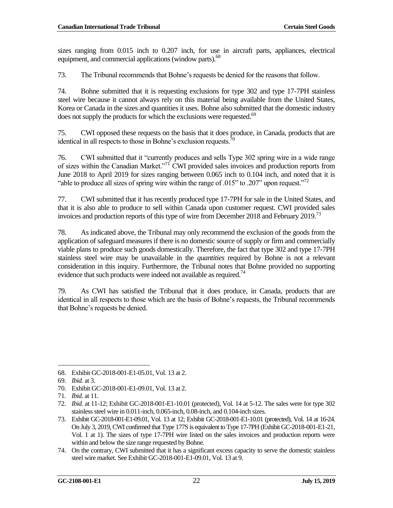sizes ranging from 0.015 inch to 0.207 inch, for use in aircraft parts, appliances, electrical equipment, and commercial applications (window parts).<sup>68</sup>

73. The Tribunal recommends that Bohne's requests be denied for the reasons that follow.

74. Bohne submitted that it is requesting exclusions for type 302 and type 17-7PH stainless steel wire because it cannot always rely on this material being available from the United States, Korea or Canada in the sizes and quantities it uses. Bohne also submitted that the domestic industry does not supply the products for which the exclusions were requested.<sup>69</sup>

75. CWI opposed these requests on the basis that it does produce, in Canada, products that are identical in all respects to those in Bohne's exclusion requests. $\frac{1}{10}$ 

76. CWI submitted that it "currently produces and sells Type 302 spring wire in a wide range of sizes within the Canadian Market."<sup>71</sup> CWI provided sales invoices and production reports from June 2018 to April 2019 for sizes ranging between 0.065 inch to 0.104 inch, and noted that it is "able to produce all sizes of spring wire within the range of .015" to .207" upon request."<sup>72</sup>

77. CWI submitted that it has recently produced type 17-7PH for sale in the United States, and that it is also able to produce to sell within Canada upon customer request. CWI provided sales invoices and production reports of this type of wire from December 2018 and February 2019.<sup>73</sup>

78. As indicated above, the Tribunal may only recommend the exclusion of the goods from the application of safeguard measures if there is no domestic source of supply or firm and commercially viable plans to produce such goods domestically. Therefore, the fact that type 302 and type 17-7PH stainless steel wire may be unavailable in the *quantities* required by Bohne is not a relevant consideration in this inquiry. Furthermore, the Tribunal notes that Bohne provided no supporting evidence that such products were indeed not available as required.<sup>74</sup>

79. As CWI has satisfied the Tribunal that it does produce, in Canada, products that are identical in all respects to those which are the basis of Bohne's requests, the Tribunal recommends that Bohne's requests be denied.

<sup>68.</sup> Exhibit GC-2018-001-E1-05.01, Vol. 13 at 2.

<sup>69.</sup> *Ibid.* at 3.

<sup>70.</sup> Exhibit GC-2018-001-E1-09.01, Vol. 13 at 2.

<sup>71.</sup> *Ibid.* at 11.

<sup>72.</sup> *Ibid.* at 11-12; Exhibit GC-2018-001-E1-10.01 (protected), Vol. 14 at 5-12. The sales were for type 302 stainless steel wire in 0.011-inch, 0.065-inch, 0.08-inch, and 0.104-inch sizes.

<sup>73.</sup> Exhibit GC-2018-001-E1-09.01, Vol. 13 at 12; Exhibit GC-2018-001-E1-10.01 (protected), Vol. 14 at 16-24. On July 3, 2019, CWI confirmed that Type 177S is equivalent to Type 17-7PH (Exhibit GC-2018-001-E1-21, Vol. 1 at 1). The sizes of type 17-7PH wire listed on the sales invoices and production reports were within and below the size range requested by Bohne.

<sup>74.</sup> On the contrary, CWI submitted that it has a significant excess capacity to serve the domestic stainless steel wire market. See Exhibit GC-2018-001-E1-09.01, Vol. 13 at 9.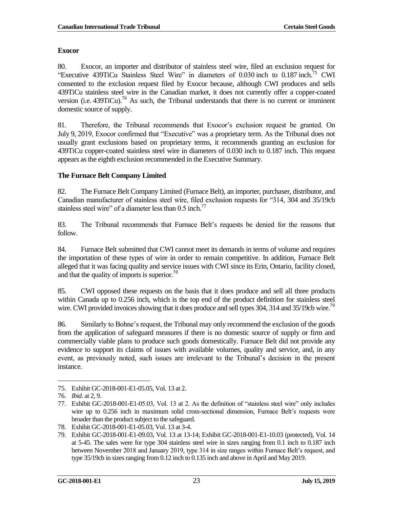#### <span id="page-24-0"></span>**Exocor**

80. Exocor, an importer and distributor of stainless steel wire, filed an exclusion request for "Executive 439TiCu Stainless Steel Wire" in diameters of 0.030 inch to 0.187 inch. <sup>75</sup> CWI consented to the exclusion request filed by Exocor because, although CWI produces and sells 439TiCu stainless steel wire in the Canadian market, it does not currently offer a copper-coated version (i.e.  $439TiCu$ ).<sup>76</sup> As such, the Tribunal understands that there is no current or imminent domestic source of supply.

81. Therefore, the Tribunal recommends that Exocor's exclusion request be granted. On July 9, 2019, Exocor confirmed that "Executive" was a proprietary term. As the Tribunal does not usually grant exclusions based on proprietary terms, it recommends granting an exclusion for 439TiCu copper-coated stainless steel wire in diameters of 0.030 inch to 0.187 inch. This request appears as the eighth exclusion recommended in the Executive Summary.

### <span id="page-24-1"></span>**The Furnace Belt Company Limited**

82. The Furnace Belt Company Limited (Furnace Belt), an importer, purchaser, distributor, and Canadian manufacturer of stainless steel wire, filed exclusion requests for "314, 304 and 35/19cb stainless steel wire" of a diameter less than 0.5 inch.<sup>77</sup>

83. The Tribunal recommends that Furnace Belt's requests be denied for the reasons that follow.

84. Furnace Belt submitted that CWI cannot meet its demands in terms of volume and requires the importation of these types of wire in order to remain competitive. In addition, Furnace Belt alleged that it was facing quality and service issues with CWI since its Erin, Ontario, facility closed, and that the quality of imports is superior.<sup>78</sup>

85. CWI opposed these requests on the basis that it does produce and sell all three products within Canada up to 0.256 inch, which is the top end of the product definition for stainless steel wire. CWI provided invoices showing that it does produce and sell types  $304$ ,  $314$  and  $35/19$ cb wire.<sup>79</sup>

86. Similarly to Bohne's request, the Tribunal may only recommend the exclusion of the goods from the application of safeguard measures if there is no domestic source of supply or firm and commercially viable plans to produce such goods domestically. Furnace Belt did not provide any evidence to support its claims of issues with available volumes, quality and service, and, in any event, as previously noted, such issues are irrelevant to the Tribunal's decision in the present instance.

 $\overline{\phantom{a}}$ 

<sup>75.</sup> Exhibit GC-2018-001-E1-05.05, Vol. 13 at 2.

<sup>76.</sup> *Ibid.* at 2, 9.

<sup>77.</sup> Exhibit GC-2018-001-E1-05.03, Vol. 13 at 2. As the definition of "stainless steel wire" only includes wire up to 0.256 inch in maximum solid cross-sectional dimension, Furnace Belt's requests were broader than the product subject to the safeguard.

<sup>78.</sup> Exhibit GC-2018-001-E1-05.03, Vol. 13 at 3-4.

<sup>79.</sup> Exhibit GC-2018-001-E1-09.03, Vol. 13 at 13-14; Exhibit GC-2018-001-E1-10.03 (protected), Vol. 14 at 5-45. The sales were for type 304 stainless steel wire in sizes ranging from 0.1 inch to 0.187 inch between November 2018 and January 2019, type 314 in size ranges within Furnace Belt's request, and type 35/19cb in sizes ranging from 0.12 inch to 0.135 inch and above in April and May 2019.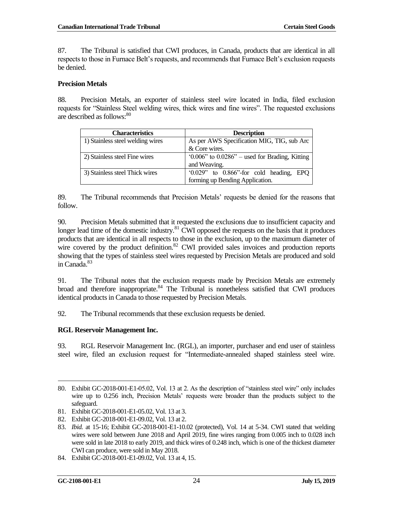87. The Tribunal is satisfied that CWI produces, in Canada, products that are identical in all respects to those in Furnace Belt's requests, and recommends that Furnace Belt's exclusion requests be denied.

#### <span id="page-25-0"></span>**Precision Metals**

88. Precision Metals, an exporter of stainless steel wire located in India, filed exclusion requests for "Stainless Steel welding wires, thick wires and fine wires". The requested exclusions are described as follows:<sup>80</sup>

| <b>Characteristics</b>           | <b>Description</b>                                  |
|----------------------------------|-----------------------------------------------------|
| 1) Stainless steel welding wires | As per AWS Specification MIG, TIG, sub Arc          |
|                                  | & Core wires.                                       |
| 2) Stainless steel Fine wires    | $0.006$ " to $0.0286$ " – used for Brading, Kitting |
|                                  | and Weaving.                                        |
| 3) Stainless steel Thick wires   | $(0.029)$ to $0.866$ for cold heading, EPQ          |
|                                  | forming up Bending Application.                     |

89. The Tribunal recommends that Precision Metals' requests be denied for the reasons that follow.

90. Precision Metals submitted that it requested the exclusions due to insufficient capacity and longer lead time of the domestic industry. $81$  CWI opposed the requests on the basis that it produces products that are identical in all respects to those in the exclusion, up to the maximum diameter of wire covered by the product definition.<sup>82</sup> CWI provided sales invoices and production reports showing that the types of stainless steel wires requested by Precision Metals are produced and sold in Canada.<sup>83</sup>

91. The Tribunal notes that the exclusion requests made by Precision Metals are extremely broad and therefore inappropriate. $84$  The Tribunal is nonetheless satisfied that CWI produces identical products in Canada to those requested by Precision Metals.

92. The Tribunal recommends that these exclusion requests be denied.

### <span id="page-25-1"></span>**RGL Reservoir Management Inc.**

93. RGL Reservoir Management Inc. (RGL), an importer, purchaser and end user of stainless steel wire, filed an exclusion request for "Intermediate-annealed shaped stainless steel wire.

 $\overline{\phantom{a}}$ 80. Exhibit GC-2018-001-E1-05.02, Vol. 13 at 2. As the description of "stainless steel wire" only includes wire up to 0.256 inch, Precision Metals' requests were broader than the products subject to the safeguard.

<sup>81.</sup> Exhibit GC-2018-001-E1-05.02, Vol. 13 at 3.

<sup>82.</sup> Exhibit GC-2018-001-E1-09.02, Vol. 13 at 2.

<sup>83.</sup> *Ibid.* at 15-16; Exhibit GC-2018-001-E1-10.02 (protected), Vol. 14 at 5-34. CWI stated that welding wires were sold between June 2018 and April 2019, fine wires ranging from 0.005 inch to 0.028 inch were sold in late 2018 to early 2019, and thick wires of 0.248 inch, which is one of the thickest diameter CWI can produce, were sold in May 2018.

<sup>84.</sup> Exhibit GC-2018-001-E1-09.02, Vol. 13 at 4, 15.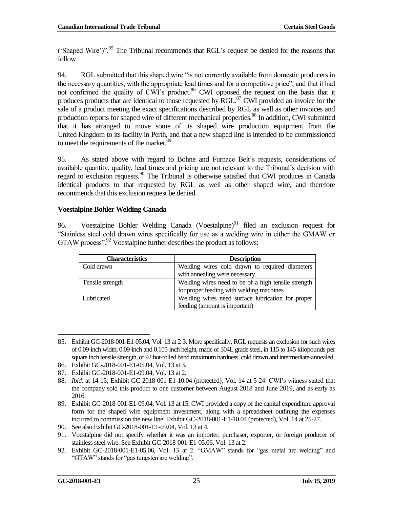('Shaped Wire')".<sup>85</sup> The Tribunal recommends that RGL's request be denied for the reasons that follow.

94. RGL submitted that this shaped wire "is not currently available from domestic producers in the necessary quantities, with the appropriate lead times and for a competitive price", and that it had not confirmed the quality of CWI's product.<sup>86</sup> CWI opposed the request on the basis that it produces products that are identical to those requested by RGL.<sup>87</sup> CWI provided an invoice for the sale of a product meeting the exact specifications described by RGL as well as other invoices and production reports for shaped wire of different mechanical properties.<sup>88</sup> In addition, CWI submitted that it has arranged to move some of its shaped wire production equipment from the United Kingdom to its facility in Perth, and that a new shaped line is intended to be commissioned to meet the requirements of the market. $89$ 

95. As stated above with regard to Bohne and Furnace Belt's requests, considerations of available quantity, quality, lead times and pricing are not relevant to the Tribunal's decision with regard to exclusion requests.<sup>90</sup> The Tribunal is otherwise satisfied that CWI produces in Canada identical products to that requested by RGL as well as other shaped wire, and therefore recommends that this exclusion request be denied.

### <span id="page-26-0"></span>**Voestalpine Bohler Welding Canada**

96. Voestalpine Bohler Welding Canada (Voestalpine) $91$  filed an exclusion request for "Stainless steel cold drawn wires specifically for use as a welding wire in either the GMAW or GTAW process".<sup>92</sup> Voestalpine further describes the product as follows:

| <b>Characteristics</b> | <b>Description</b>                                  |
|------------------------|-----------------------------------------------------|
| Cold drawn             | Welding wires cold drawn to required diameters      |
|                        | with annealing were necessary.                      |
| Tensile strength       | Welding wires need to be of a high tensile strength |
|                        | for proper feeding with welding machines            |
| Lubricated             | Welding wires need surface lubrication for proper   |
|                        | feeding (amount is important)                       |

 85. Exhibit GC-2018-001-E1-05.04, Vol. 13 at 2-3. More specifically, RGL requests an exclusion for such wires of 0.09-inch width, 0.09-inch and 0.105-inch height, made of 304L grade steel, in 115 to 145 kilopounds per square inch tensile strength, of 92 hot-rolled band maximum hardness, cold drawn and intermediate-annealed.

<sup>86.</sup> Exhibit GC-2018-001-E1-05.04, Vol. 13 at 3.

<sup>87.</sup> Exhibit GC-2018-001-E1-09.04, Vol. 13 at 2.

<sup>88.</sup> *Ibid.* at 14-15; Exhibit GC-2018-001-E1-10.04 (protected), Vol. 14 at 5-24. CWI's witness stated that the company sold this product to one customer between August 2018 and June 2019, and as early as 2016.

<sup>89.</sup> Exhibit GC-2018-001-E1-09.04, Vol. 13 at 15. CWI provided a copy of the capital expenditure approval form for the shaped wire equipment investment, along with a spreadsheet outlining the expenses incurred to commission the new line. Exhibit GC-2018-001-E1-10.04 (protected), Vol. 14 at 25-27.

<sup>90.</sup> See also Exhibit GC-2018-001-E1-09.04, Vol. 13 at 4.

<sup>91.</sup> Voestalpine did not specify whether it was an importer, purchaser, exporter, or foreign producer of stainless steel wire. See Exhibit GC-2018-001-E1-05.06, Vol. 13 at 2.

<sup>92.</sup> Exhibit GC-2018-001-E1-05.06, Vol. 13 at 2. "GMAW" stands for "gas metal arc welding" and "GTAW" stands for "gas tungsten arc welding".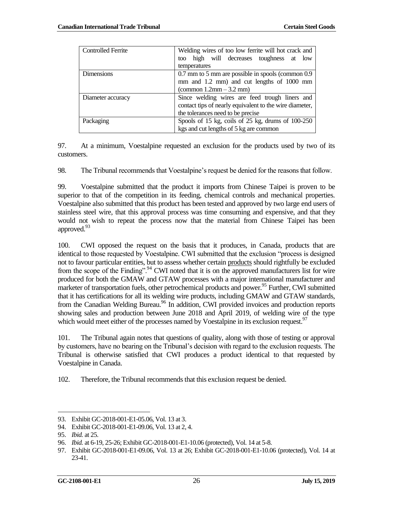| <b>Controlled Ferrite</b> | Welding wires of too low ferrite will hot crack and           |
|---------------------------|---------------------------------------------------------------|
|                           | too high will decreases toughness at low                      |
|                           | temperatures                                                  |
| <b>Dimensions</b>         | 0.7 mm to 5 mm are possible in spools (common 0.9)            |
|                           | mm and 1.2 mm) and cut lengths of 1000 mm                     |
|                           | $\left( \text{common } 1.2 \text{mm} - 3.2 \text{mm} \right)$ |
| Diameter accuracy         | Since welding wires are feed trough liners and                |
|                           | contact tips of nearly equivalent to the wire diameter,       |
|                           | the tolerances need to be precise                             |
| Packaging                 | Spools of 15 kg, coils of $25$ kg, drums of $100-250$         |
|                           | kgs and cut lengths of 5 kg are common                        |

97. At a minimum, Voestalpine requested an exclusion for the products used by two of its customers.

98. The Tribunal recommends that Voestalpine's request be denied for the reasons that follow.

99. Voestalpine submitted that the product it imports from Chinese Taipei is proven to be superior to that of the competition in its feeding, chemical controls and mechanical properties. Voestalpine also submitted that this product has been tested and approved by two large end users of stainless steel wire, that this approval process was time consuming and expensive, and that they would not wish to repeat the process now that the material from Chinese Taipei has been approved.<sup>93</sup>

100. CWI opposed the request on the basis that it produces, in Canada, products that are identical to those requested by Voestalpine. CWI submitted that the exclusion "process is designed not to favour particular entities, but to assess whether certain products should rightfully be excluded from the scope of the Finding".<sup>94</sup> CWI noted that it is on the approved manufacturers list for wire produced for both the GMAW and GTAW processes with a major international manufacturer and marketer of transportation fuels, other petrochemical products and power.<sup>95</sup> Further, CWI submitted that it has certifications for all its welding wire products, including GMAW and GTAW standards, from the Canadian Welding Bureau.<sup>96</sup> In addition, CWI provided invoices and production reports showing sales and production between June 2018 and April 2019, of welding wire of the type which would meet either of the processes named by Voestalpine in its exclusion request.<sup>97</sup>

101. The Tribunal again notes that questions of quality, along with those of testing or approval by customers, have no bearing on the Tribunal's decision with regard to the exclusion requests. The Tribunal is otherwise satisfied that CWI produces a product identical to that requested by Voestalpine in Canada.

102. Therefore, the Tribunal recommends that this exclusion request be denied.

 93. Exhibit GC-2018-001-E1-05.06, Vol. 13 at 3.

<sup>94.</sup> Exhibit GC-2018-001-E1-09.06, Vol. 13 at 2, 4.

<sup>95.</sup> *Ibid.* at 25.

<sup>96.</sup> *Ibid.* at 6-19, 25-26; Exhibit GC-2018-001-E1-10.06 (protected), Vol. 14 at 5-8.

<sup>97.</sup> Exhibit GC-2018-001-E1-09.06, Vol. 13 at 26; Exhibit GC-2018-001-E1-10.06 (protected), Vol. 14 at 23-41.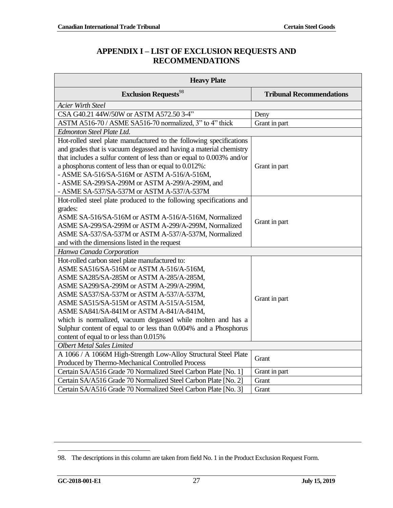# **APPENDIX I – LIST OF EXCLUSION REQUESTS AND RECOMMENDATIONS**

<span id="page-28-0"></span>

| <b>Heavy Plate</b>                                                        |                                 |  |
|---------------------------------------------------------------------------|---------------------------------|--|
| <b>Exclusion Requests</b> <sup>98</sup>                                   | <b>Tribunal Recommendations</b> |  |
| <b>Acier Wirth Steel</b>                                                  |                                 |  |
| CSA G40.21 44W/50W or ASTM A572.50 3-4"                                   | Deny                            |  |
| ASTM A516-70 / ASME SA516-70 normalized, 3" to 4" thick                   | Grant in part                   |  |
| Edmonton Steel Plate Ltd.                                                 |                                 |  |
| Hot-rolled steel plate manufactured to the following specifications       |                                 |  |
| and grades that is vacuum degassed and having a material chemistry        |                                 |  |
| that includes a sulfur content of less than or equal to 0.003% and/or     |                                 |  |
| a phosphorus content of less than or equal to 0.012%:                     | Grant in part                   |  |
| - ASME SA-516/SA-516M or ASTM A-516/A-516M,                               |                                 |  |
| - ASME SA-299/SA-299M or ASTM A-299/A-299M, and                           |                                 |  |
| - ASME SA-537/SA-537M or ASTM A-537/A-537M                                |                                 |  |
| Hot-rolled steel plate produced to the following specifications and       |                                 |  |
| grades:                                                                   |                                 |  |
| ASME SA-516/SA-516M or ASTM A-516/A-516M, Normalized                      | Grant in part                   |  |
| ASME SA-299/SA-299M or ASTM A-299/A-299M, Normalized                      |                                 |  |
| ASME SA-537/SA-537M or ASTM A-537/A-537M, Normalized                      |                                 |  |
| and with the dimensions listed in the request<br>Hanwa Canada Corporation |                                 |  |
| Hot-rolled carbon steel plate manufactured to:                            |                                 |  |
| ASME SA516/SA-516M or ASTM A-516/A-516M,                                  |                                 |  |
| ASME SA285/SA-285M or ASTM A-285/A-285M,                                  | Grant in part                   |  |
| ASME SA299/SA-299M or ASTM A-299/A-299M,                                  |                                 |  |
| ASME SA537/SA-537M or ASTM A-537/A-537M,                                  |                                 |  |
| ASME SA515/SA-515M or ASTM A-515/A-515M,                                  |                                 |  |
| ASME SA841/SA-841M or ASTM A-841/A-841M,                                  |                                 |  |
| which is normalized, vacuum degassed while molten and has a               |                                 |  |
| Sulphur content of equal to or less than 0.004% and a Phosphorus          |                                 |  |
| content of equal to or less than 0.015%                                   |                                 |  |
| <b>Olbert Metal Sales Limited</b>                                         |                                 |  |
| A 1066 / A 1066M High-Strength Low-Alloy Structural Steel Plate           |                                 |  |
| Produced by Thermo-Mechanical Controlled Process                          | Grant                           |  |
| Certain SA/A516 Grade 70 Normalized Steel Carbon Plate [No. 1]            | Grant in part                   |  |
| Certain SA/A516 Grade 70 Normalized Steel Carbon Plate [No. 2]            | Grant                           |  |
| Certain SA/A516 Grade 70 Normalized Steel Carbon Plate [No. 3]            | Grant                           |  |

<sup>98.</sup> The descriptions in this column are taken from field No. 1 in the Product Exclusion Request Form.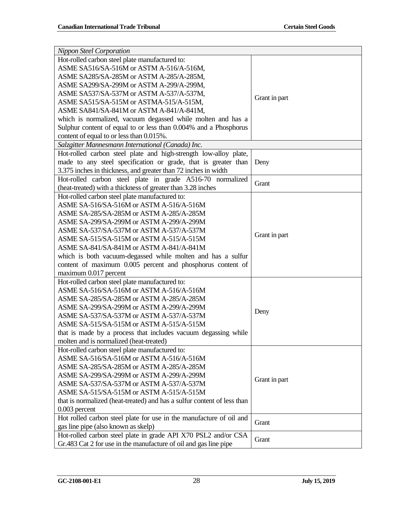| <b>Nippon Steel Corporation</b>                                                        |               |  |
|----------------------------------------------------------------------------------------|---------------|--|
| Hot-rolled carbon steel plate manufactured to:                                         |               |  |
| ASME SA516/SA-516M or ASTM A-516/A-516M,                                               |               |  |
| ASME SA285/SA-285M or ASTM A-285/A-285M,                                               |               |  |
| ASME SA299/SA-299M or ASTM A-299/A-299M,                                               |               |  |
| ASME SA537/SA-537M or ASTM A-537/A-537M,                                               |               |  |
| ASME SA515/SA-515M or ASTMA-515/A-515M,                                                | Grant in part |  |
| ASME SA841/SA-841M or ASTM A-841/A-841M,                                               |               |  |
| which is normalized, vacuum degassed while molten and has a                            |               |  |
| Sulphur content of equal to or less than 0.004% and a Phosphorus                       |               |  |
| content of equal to or less than 0.015%.                                               |               |  |
| Salzgitter Mannesmann International (Canada) Inc.                                      |               |  |
| Hot-rolled carbon steel plate and high-strength low-alloy plate,                       |               |  |
| made to any steel specification or grade, that is greater than                         | Deny          |  |
| 3.375 inches in thickness, and greater than 72 inches in width                         |               |  |
| Hot-rolled carbon steel plate in grade A516-70 normalized                              |               |  |
| (heat-treated) with a thickness of greater than 3.28 inches                            | Grant         |  |
| Hot-rolled carbon steel plate manufactured to:                                         |               |  |
| ASME SA-516/SA-516M or ASTM A-516/A-516M                                               |               |  |
| ASME SA-285/SA-285M or ASTM A-285/A-285M                                               |               |  |
| ASME SA-299/SA-299M or ASTM A-299/A-299M                                               |               |  |
| ASME SA-537/SA-537M or ASTM A-537/A-537M                                               |               |  |
| ASME SA-515/SA-515M or ASTM A-515/A-515M                                               | Grant in part |  |
| ASME SA-841/SA-841M or ASTM A-841/A-841M                                               |               |  |
| which is both vacuum-degassed while molten and has a sulfur                            |               |  |
| content of maximum 0.005 percent and phosphorus content of                             |               |  |
| maximum 0.017 percent                                                                  |               |  |
| Hot-rolled carbon steel plate manufactured to:                                         |               |  |
| ASME SA-516/SA-516M or ASTM A-516/A-516M                                               |               |  |
| ASME SA-285/SA-285M or ASTM A-285/A-285M                                               |               |  |
| ASME SA-299/SA-299M or ASTM A-299/A-299M                                               |               |  |
| ASME SA-537/SA-537M or ASTM A-537/A-537M                                               | Deny          |  |
| ASME SA-515/SA-515M or ASTM A-515/A-515M                                               |               |  |
| that is made by a process that includes vacuum degassing while                         |               |  |
| molten and is normalized (heat-treated)                                                |               |  |
| Hot-rolled carbon steel plate manufactured to:                                         |               |  |
| ASME SA-516/SA-516M or ASTM A-516/A-516M                                               |               |  |
| ASME SA-285/SA-285M or ASTM A-285/A-285M                                               |               |  |
| ASME SA-299/SA-299M or ASTM A-299/A-299M                                               |               |  |
| ASME SA-537/SA-537M or ASTM A-537/A-537M                                               | Grant in part |  |
| ASME SA-515/SA-515M or ASTM A-515/A-515M                                               |               |  |
| that is normalized (heat-treated) and has a sulfur content of less than                |               |  |
|                                                                                        |               |  |
| $0.003$ percent<br>Hot rolled carbon steel plate for use in the manufacture of oil and |               |  |
|                                                                                        | Grant         |  |
| gas line pipe (also known as skelp)                                                    |               |  |
| Hot-rolled carbon steel plate in grade API X70 PSL2 and/or CSA                         | Grant         |  |
| Gr.483 Cat 2 for use in the manufacture of oil and gas line pipe                       |               |  |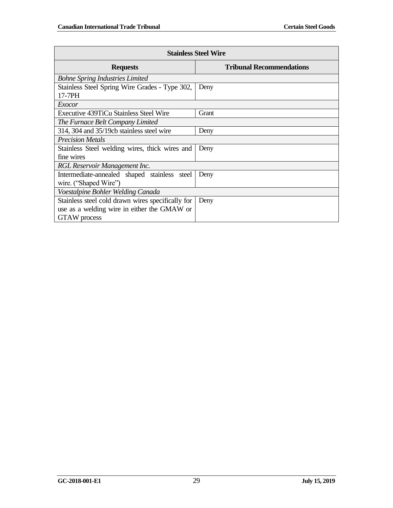| <b>Stainless Steel Wire</b>                       |                                 |  |
|---------------------------------------------------|---------------------------------|--|
| <b>Requests</b>                                   | <b>Tribunal Recommendations</b> |  |
| <b>Bohne Spring Industries Limited</b>            |                                 |  |
| Stainless Steel Spring Wire Grades - Type 302,    | Deny                            |  |
| 17-7PH                                            |                                 |  |
| Exocor                                            |                                 |  |
| <b>Executive 439TiCu Stainless Steel Wire</b>     | Grant                           |  |
| The Furnace Belt Company Limited                  |                                 |  |
| 314, 304 and 35/19cb stainless steel wire         | Deny                            |  |
| <b>Precision Metals</b>                           |                                 |  |
| Stainless Steel welding wires, thick wires and    | Deny                            |  |
| fine wires                                        |                                 |  |
| RGL Reservoir Management Inc.                     |                                 |  |
| Intermediate-annealed shaped stainless steel      | Deny                            |  |
| wire. ("Shaped Wire")                             |                                 |  |
| Voestalpine Bohler Welding Canada                 |                                 |  |
| Stainless steel cold drawn wires specifically for | Deny                            |  |
| use as a welding wire in either the GMAW or       |                                 |  |
| <b>GTAW</b> process                               |                                 |  |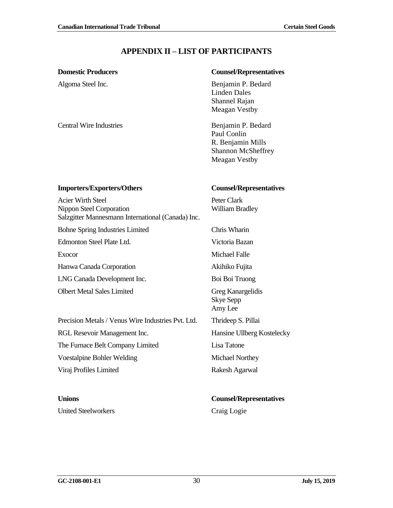# **APPENDIX II – LIST OF PARTICIPANTS**

Central Wire Industries Benjamin P. Bedard

#### <span id="page-31-0"></span>**Domestic Producers Counsel/Representatives**

Algoma Steel Inc. Benjamin P. Bedard Linden Dales Shannel Rajan Meagan Vestby

> Paul Conlin R. Benjamin Mills Shannon McSheffrey Meagan Vestby

#### **Importers/Exporters/Others Counsel/Representatives**

Nippon Steel Corporation

Acier Wirth Steel

Salzgitter Mannesmann International (Canada) Inc. Peter Clark William Bradley

Bohne Spring Industries Limited Chris Wharin

Edmonton Steel Plate Ltd. Victoria Bazan

Exocor Michael Falle

Hanwa Canada Corporation Akihiko Fujita

LNG Canada Development Inc. Boi Boi Truong

Olbert Metal Sales Limited Greg Kanargelidis Skye Sepp

Amy Lee

Precision Metals / Venus Wire Industries Pvt. Ltd. Thrideep S. Pillai

RGL Resevoir Management Inc. 
Hansine Ullberg Kostelecky

The Furnace Belt Company Limited Lisa Tatone

Voestalpine Bohler Welding Michael Northey

Viraj Profiles Limited Rakesh Agarwal

United Steelworkers Craig Logie

# **Unions Counsel/Representatives**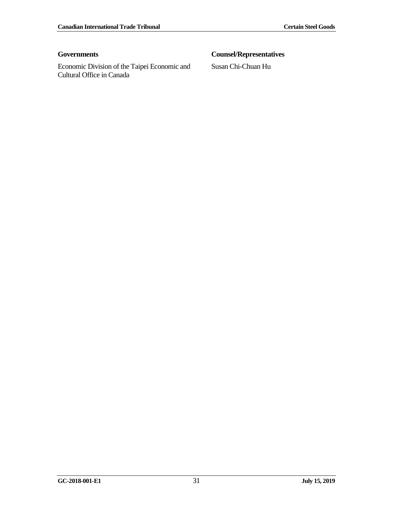Economic Division of the Taipei Economic and Cultural Office in Canada

# **Governments Counsel/Representatives**

Susan Chi-Chuan Hu